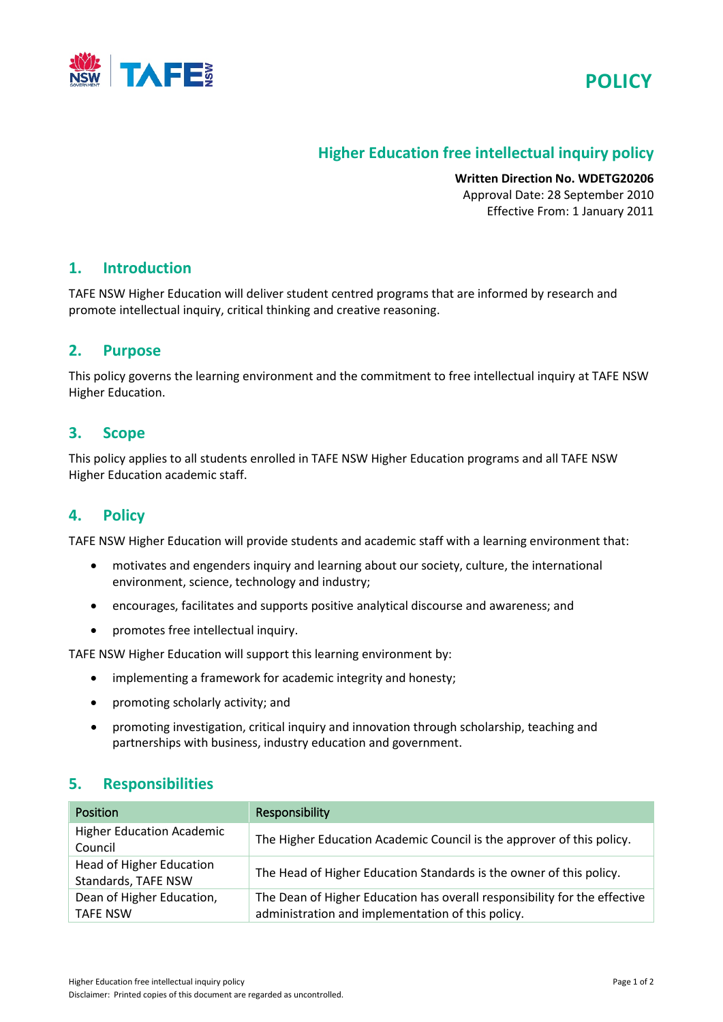



# **Higher Education free intellectual inquiry policy**

**Written Direction No. WDETG20206** Approval Date: 28 September 2010 Effective From: 1 January 2011

### **1. Introduction**

TAFE NSW Higher Education will deliver student centred programs that are informed by research and promote intellectual inquiry, critical thinking and creative reasoning.

### **2. Purpose**

This policy governs the learning environment and the commitment to free intellectual inquiry at TAFE NSW Higher Education.

### **3. Scope**

This policy applies to all students enrolled in TAFE NSW Higher Education programs and all TAFE NSW Higher Education academic staff.

### **4. Policy**

TAFE NSW Higher Education will provide students and academic staff with a learning environment that:

- motivates and engenders inquiry and learning about our society, culture, the international environment, science, technology and industry;
- encourages, facilitates and supports positive analytical discourse and awareness; and
- promotes free intellectual inquiry.

TAFE NSW Higher Education will support this learning environment by:

- implementing a framework for academic integrity and honesty;
- promoting scholarly activity; and
- promoting investigation, critical inquiry and innovation through scholarship, teaching and partnerships with business, industry education and government.

#### **5. Responsibilities**

| <b>Position</b>                                        | Responsibility                                                                                                                 |  |
|--------------------------------------------------------|--------------------------------------------------------------------------------------------------------------------------------|--|
| <b>Higher Education Academic</b><br>Council            | The Higher Education Academic Council is the approver of this policy.                                                          |  |
| <b>Head of Higher Education</b><br>Standards, TAFE NSW | The Head of Higher Education Standards is the owner of this policy.                                                            |  |
| Dean of Higher Education,<br><b>TAFE NSW</b>           | The Dean of Higher Education has overall responsibility for the effective<br>administration and implementation of this policy. |  |